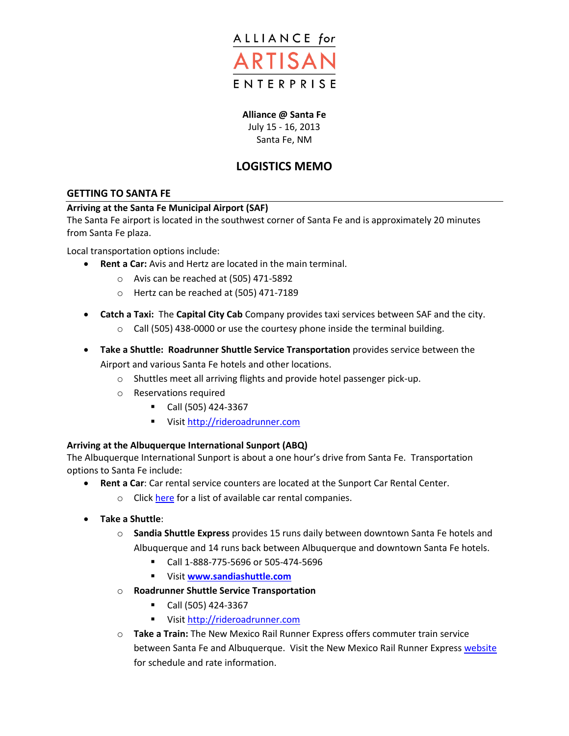

# **Alliance @ Santa Fe**

July 15 - 16, 2013 Santa Fe, NM

# **LOGISTICS MEMO**

# **GETTING TO SANTA FE**

### **Arriving at the Santa Fe Municipal Airport (SAF)**

The Santa Fe airport is located in the southwest corner of Santa Fe and is approximately 20 minutes from Santa Fe plaza.

Local transportation options include:

- **Rent a Car:** Avis and Hertz are located in the main terminal.
	- o Avis can be reached at (505) 471-5892
	- o Hertz can be reached at (505) 471-7189
- **Catch a Taxi:** The **Capital City Cab** Company provides taxi services between SAF and the city.
	- $\circ$  Call (505) 438-0000 or use the courtesy phone inside the terminal building.
- **Take a Shuttle: Roadrunner Shuttle Service Transportation** provides service between the Airport and various Santa Fe hotels and other locations.
	- o Shuttles meet all arriving flights and provide hotel passenger pick-up.
	- o Reservations required
		- $\blacksquare$  Call (505) 424-3367
		- Visit [http://rideroadrunner.com](http://rideroadrunner.com/)

### **Arriving at the Albuquerque International Sunport (ABQ)**

The Albuquerque International Sunport is about a one hour's drive from Santa Fe. Transportation options to Santa Fe include:

- **Rent a Car**: Car rental service counters are located at the Sunport Car Rental Center.
	- o Click [here](http://www.cabq.gov/airport/parking/car-rental/car-rental) for a list of available car rental companies.
- **Take a Shuttle**:
	- o **Sandia Shuttle Express** provides 15 runs daily between downtown Santa Fe hotels and Albuquerque and 14 runs back between Albuquerque and downtown Santa Fe hotels.
		- Call 1-888-775-5696 or 505-474-5696
		- Visit **[www.sandiashuttle.com](http://www.sandiashuttle.com/)**
	- o **Roadrunner Shuttle Service Transportation**
		- Call (505) 424-3367
		- Visit [http://rideroadrunner.com](http://rideroadrunner.com/)
	- o **Take a Train:** The New Mexico Rail Runner Express offers commuter train service between Santa Fe and Albuquerque. Visit the New Mexico Rail Runner Expres[s website](http://www.nmrailrunner.com/) for schedule and rate information.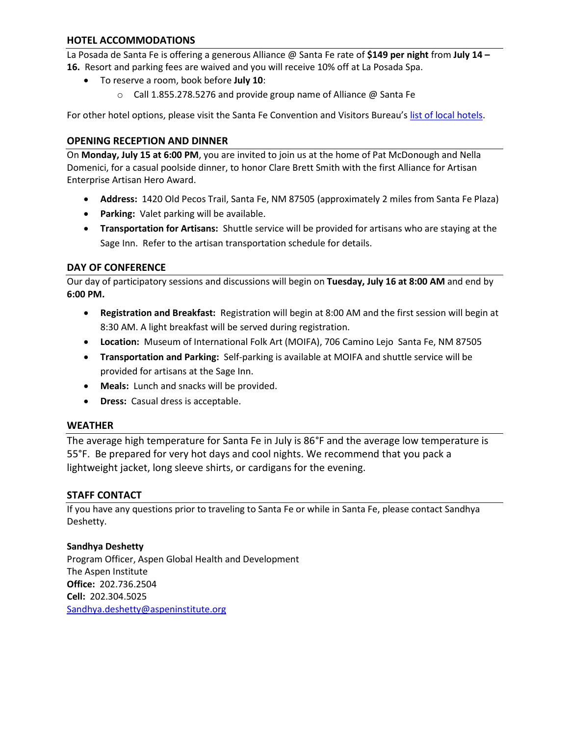# **HOTEL ACCOMMODATIONS**

La Posada de Santa Fe is offering a generous Alliance @ Santa Fe rate of **\$149 per night** from **July 14 – 16.** Resort and parking fees are waived and you will receive 10% off at La Posada Spa.

- To reserve a room, book before **July 10**:
	- o Call 1.855.278.5276 and provide group name of Alliance @ Santa Fe

For other hotel options, please visit the Santa Fe Convention and Visitors Bureau's [list of local hotels.](http://santafe.org/Visiting_Santa_Fe/Accommodations/Hotels_and_Motels/index.html)

# **OPENING RECEPTION AND DINNER**

On **Monday, July 15 at 6:00 PM**, you are invited to join us at the home of Pat McDonough and Nella Domenici, for a casual poolside dinner, to honor Clare Brett Smith with the first Alliance for Artisan Enterprise Artisan Hero Award.

- **Address:** 1420 Old Pecos Trail, Santa Fe, NM 87505 (approximately 2 miles from Santa Fe Plaza)
- **Parking:** Valet parking will be available.
- **Transportation for Artisans:** Shuttle service will be provided for artisans who are staying at the Sage Inn. Refer to the artisan transportation schedule for details.

### **DAY OF CONFERENCE**

Our day of participatory sessions and discussions will begin on **Tuesday, July 16 at 8:00 AM** and end by **6:00 PM.**

- **Registration and Breakfast:** Registration will begin at 8:00 AM and the first session will begin at 8:30 AM. A light breakfast will be served during registration.
- **Location:** Museum of International Folk Art (MOIFA), 706 Camino Lejo Santa Fe, NM 87505
- **Transportation and Parking:** Self-parking is available at MOIFA and shuttle service will be provided for artisans at the Sage Inn.
- **Meals:** Lunch and snacks will be provided.
- **Dress:** Casual dress is acceptable.

### **WEATHER**

The average high temperature for Santa Fe in July is 86°F and the average low temperature is 55°F. Be prepared for very hot days and cool nights. We recommend that you pack a lightweight jacket, long sleeve shirts, or cardigans for the evening.

### **STAFF CONTACT**

If you have any questions prior to traveling to Santa Fe or while in Santa Fe, please contact Sandhya Deshetty.

### **Sandhya Deshetty**

Program Officer, Aspen Global Health and Development The Aspen Institute **Office:** 202.736.2504 **Cell:** 202.304.5025 [Sandhya.deshetty@aspeninstitute.org](mailto:Sandhya.deshetty@aspeninstitute.org)